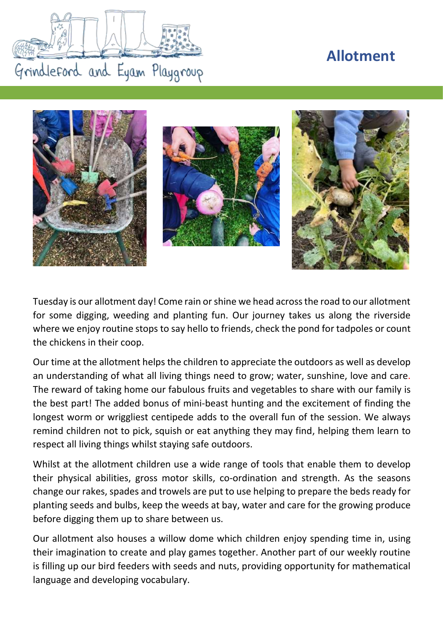## **Allotment**





Tuesday is our allotment day! Come rain or shine we head across the road to our allotment for some digging, weeding and planting fun. Our journey takes us along the riverside where we enjoy routine stops to say hello to friends, check the pond for tadpoles or count the chickens in their coop.

Our time at the allotment helps the children to appreciate the outdoors as well as develop an understanding of what all living things need to grow; water, sunshine, love and care. The reward of taking home our fabulous fruits and vegetables to share with our family is the best part! The added bonus of mini-beast hunting and the excitement of finding the longest worm or wriggliest centipede adds to the overall fun of the session. We always remind children not to pick, squish or eat anything they may find, helping them learn to respect all living things whilst staying safe outdoors.

Whilst at the allotment children use a wide range of tools that enable them to develop their physical abilities, gross motor skills, co-ordination and strength. As the seasons change our rakes, spades and trowels are put to use helping to prepare the beds ready for planting seeds and bulbs, keep the weeds at bay, water and care for the growing produce before digging them up to share between us.

Our allotment also houses a willow dome which children enjoy spending time in, using their imagination to create and play games together. Another part of our weekly routine is filling up our bird feeders with seeds and nuts, providing opportunity for mathematical language and developing vocabulary.